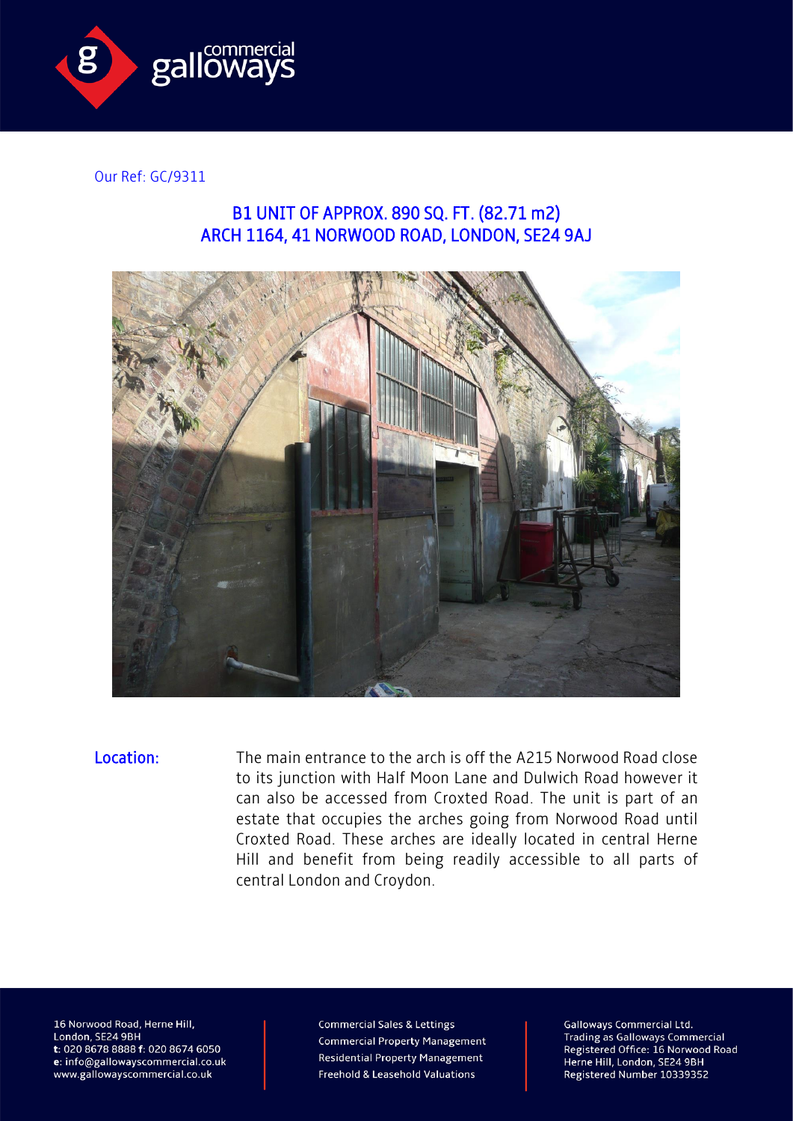

Our Ref: GC/9311

## B1 UNIT OF APPROX. 890 SQ. FT. (82.71 m2) ARCH 1164, 41 NORWOOD ROAD, LONDON, SE24 9AJ



Location: The main entrance to the arch is off the A215 Norwood Road close to its junction with Half Moon Lane and Dulwich Road however it can also be accessed from Croxted Road. The unit is part of an estate that occupies the arches going from Norwood Road until Croxted Road. These arches are ideally located in central Herne Hill and benefit from being readily accessible to all parts of central London and Croydon.

16 Norwood Road, Herne Hill, London, SE24 9BH t: 020 8678 8888 f: 020 8674 6050 e: info@gallowayscommercial.co.uk www.gallowayscommercial.co.uk

**Commercial Sales & Lettings Commercial Property Management Residential Property Management** Freehold & Leasehold Valuations

**Galloways Commercial Ltd. Trading as Galloways Commercial** Registered Office: 16 Norwood Road Herne Hill, London, SE24 9BH Registered Number 10339352